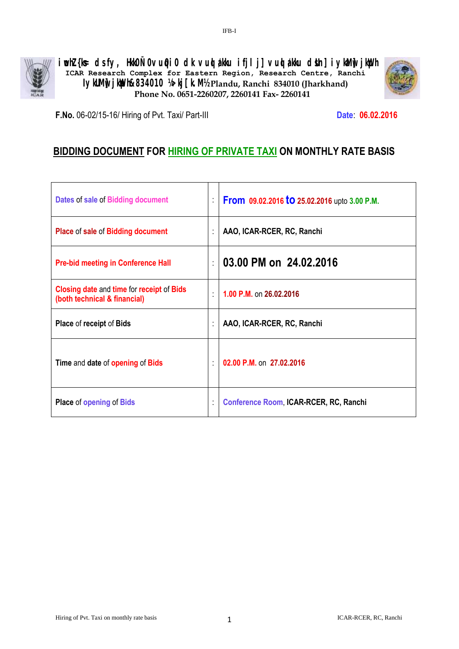

**iwohZ {ks= ds fy, Hkk0Ñ0vuq0i0 dk vuqla/kku ifjlj] vuqla/kku dsUn] iykaMw] jkWph ICAR Research Complex for Eastern Region, Research Centre, Ranchi IykUMi jkiph&834010 ¼>kj [k. M½ <b>Plandu, Ranchi 834010 (Jharkhand) Phone No. 0651-2260207, 2260141 Fax- 2260141**



**F.No.** 06-02/15-16/ Hiring of Pvt. Taxi/ Part-III **Date**: **06.02.2016**

# **BIDDING DOCUMENT FOR HIRING OF PRIVATE TAXI ON MONTHLY RATE BASIS**

| Dates of sale of Bidding document                                                | ÷. | From 09.02.2016 to 25.02.2016 upto 3.00 P.M. |
|----------------------------------------------------------------------------------|----|----------------------------------------------|
| Place of sale of Bidding document                                                | ÷  | AAO, ICAR-RCER, RC, Ranchi                   |
| <b>Pre-bid meeting in Conference Hall</b>                                        | ÷  | 03.00 PM on 24.02.2016                       |
| <b>Closing date and time for receipt of Bids</b><br>(both technical & financial) | t. | 1.00 P.M. on 26.02.2016                      |
| Place of receipt of Bids                                                         | ÷  | AAO, ICAR-RCER, RC, Ranchi                   |
| Time and date of opening of Bids                                                 | ÷  | 02.00 P.M. on 27.02.2016                     |
| <b>Place of opening of Bids</b>                                                  | t  | Conference Room, ICAR-RCER, RC, Ranchi       |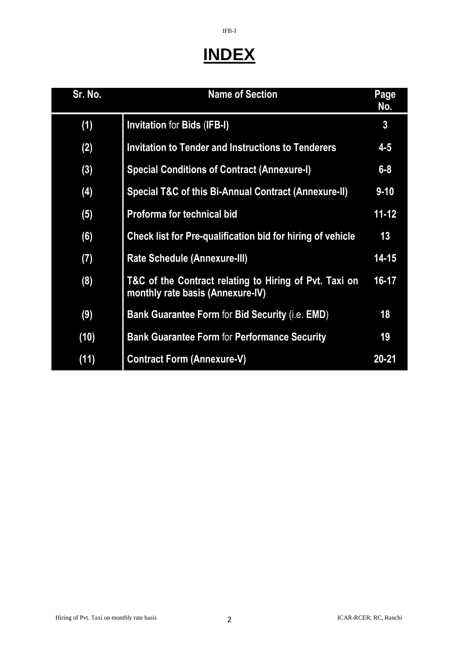# **INDEX**

IFB-I

| Sr. No. | <b>Name of Section</b>                                                                     | Page<br>No.    |
|---------|--------------------------------------------------------------------------------------------|----------------|
| (1)     | <b>Invitation for Bids (IFB-I)</b>                                                         | $\overline{3}$ |
| (2)     | <b>Invitation to Tender and Instructions to Tenderers</b>                                  | $4 - 5$        |
| (3)     | <b>Special Conditions of Contract (Annexure-I)</b>                                         | $6 - 8$        |
| (4)     | Special T&C of this Bi-Annual Contract (Annexure-II)                                       | $9 - 10$       |
| (5)     | <b>Proforma for technical bid</b>                                                          | $11 - 12$      |
| (6)     | Check list for Pre-qualification bid for hiring of vehicle                                 | 13             |
| (7)     | <b>Rate Schedule (Annexure-III)</b>                                                        | $14 - 15$      |
| (8)     | T&C of the Contract relating to Hiring of Pvt. Taxi on<br>monthly rate basis (Annexure-IV) | 16-17          |
| (9)     | <b>Bank Guarantee Form for Bid Security (i.e. EMD)</b>                                     | 18             |
| (10)    | <b>Bank Guarantee Form for Performance Security</b>                                        | 19             |
| (11)    | <b>Contract Form (Annexure-V)</b>                                                          | $20 - 21$      |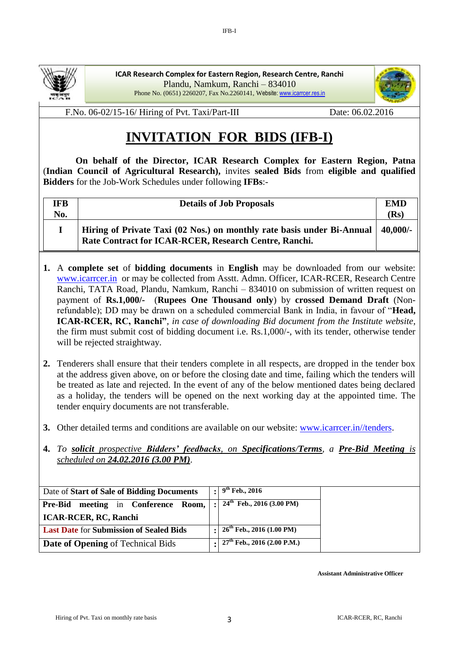

**ICAR Research Complex for Eastern Region, Research Centre, Ranchi**  Plandu, Namkum, Ranchi – 834010 Phone No. (0651) 2260207, Fax No.2260141, Website: [www.icarrcer.res.in](http://www.icarrcer.res.in/tenders)

IFB-I



F.No. 06-02/15-16/ Hiring of Pvt. Taxi/Part-III Date: 06.02.2016

# **INVITATION FOR BIDS (IFB-I)**

 **On behalf of the Director, ICAR Research Complex for Eastern Region, Patna** (**Indian Council of Agricultural Research),** invites **sealed Bids** from **eligible and qualified Bidders** for the Job-Work Schedules under following **IFBs**:*-*

| IFB<br>No. | <b>Details of Job Proposals</b>                                                                                                 | <b>EMD</b><br>(Rs) |
|------------|---------------------------------------------------------------------------------------------------------------------------------|--------------------|
|            | Hiring of Private Taxi (02 Nos.) on monthly rate basis under Bi-Annual<br>Rate Contract for ICAR-RCER, Research Centre, Ranchi. | $40,000/-$         |

- **1.** A **complete set** of **bidding documents** in **English** may be downloaded from our website: [www.icarrcer.in](http://www.icarrcer.in/) or may be collected from Asstt. Admn. Officer, ICAR-RCER, Research Centre Ranchi, TATA Road, Plandu, Namkum, Ranchi – 834010 on submission of written request on payment of **Rs.1,000/-** (**Rupees One Thousand only**) by **crossed Demand Draft** (Nonrefundable); DD may be drawn on a scheduled commercial Bank in India, in favour of "**Head, ICAR-RCER, RC, Ranchi"**, *in case of downloading Bid document from the Institute website*, the firm must submit cost of bidding document i.e. Rs.1,000/-, with its tender, otherwise tender will be rejected straightway.
- **2.** Tenderers shall ensure that their tenders complete in all respects, are dropped in the tender box at the address given above, on or before the closing date and time, failing which the tenders will be treated as late and rejected. In the event of any of the below mentioned dates being declared as a holiday, the tenders will be opened on the next working day at the appointed time. The tender enquiry documents are not transferable.
- **3.** Other detailed terms and conditions are available on our website: [www.icarrcer.in//tenders.](http://www.icarrcer.in/tenders)
- **4.** *To solicit prospective Bidders' feedbacks, on Specifications/Terms, a Pre-Bid Meeting is scheduled on 24.02.2016 (3.00 PM)*.

| Date of Start of Sale of Bidding Documents     |              | $: 9^{th}$ Feb., 2016                           |
|------------------------------------------------|--------------|-------------------------------------------------|
| <b>Pre-Bid meeting in Conference Room,  </b>   | $\mathbf{r}$ | $24th$ Feb., 2016 (3.00 PM)                     |
| <b>ICAR-RCER, RC, Ranchi</b>                   |              |                                                 |
| <b>Last Date for Submission of Sealed Bids</b> |              | $: 26th$ Feb., 2016 (1.00 PM)                   |
| Date of Opening of Technical Bids              |              | $\cdot$ 27 <sup>th</sup> Feb., 2016 (2.00 P.M.) |

**Assistant Administrative Officer**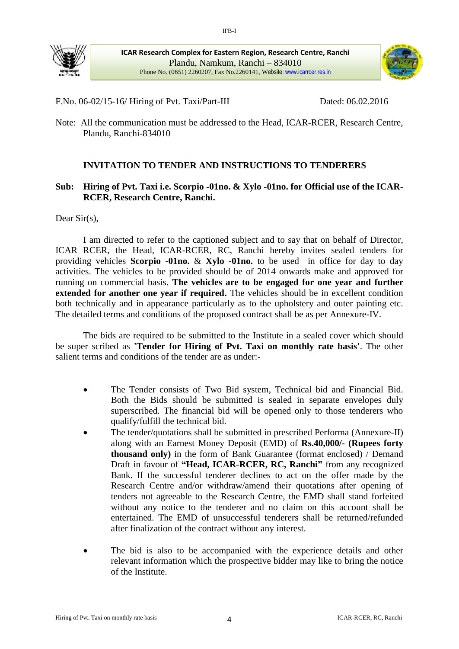

**ICAR Research Complex for Eastern Region, Research Centre, Ranchi**  Plandu, Namkum, Ranchi – 834010 Phone No. (0651) 2260207, Fax No.2260141, Website[: www.icarrcer.res.in](http://www.icarrcer.res.in/tenders)



F.No. 06-02/15-16/ Hiring of Pvt. Taxi/Part-III Dated: 06.02.2016

Note: All the communication must be addressed to the Head, ICAR-RCER, Research Centre, Plandu, Ranchi-834010

## **INVITATION TO TENDER AND INSTRUCTIONS TO TENDERERS**

#### **Sub: Hiring of Pvt. Taxi i.e. Scorpio -01no. & Xylo -01no. for Official use of the ICAR-RCER, Research Centre, Ranchi.**

Dear Sir(s),

I am directed to refer to the captioned subject and to say that on behalf of Director, ICAR RCER, the Head, ICAR-RCER, RC, Ranchi hereby invites sealed tenders for providing vehicles **Scorpio -01no.** & **Xylo -01no.** to be used in office for day to day activities. The vehicles to be provided should be of 2014 onwards make and approved for running on commercial basis. **The vehicles are to be engaged for one year and further extended for another one year if required.** The vehicles should be in excellent condition both technically and in appearance particularly as to the upholstery and outer painting etc. The detailed terms and conditions of the proposed contract shall be as per Annexure-IV.

The bids are required to be submitted to the Institute in a sealed cover which should be super scribed as **'Tender for Hiring of Pvt. Taxi on monthly rate basis'**. The other salient terms and conditions of the tender are as under:-

- The Tender consists of Two Bid system, Technical bid and Financial Bid. Both the Bids should be submitted is sealed in separate envelopes duly superscribed. The financial bid will be opened only to those tenderers who qualify/fulfill the technical bid.
- The tender/quotations shall be submitted in prescribed Performa (Annexure-II) along with an Earnest Money Deposit (EMD) of **Rs.40,000/- (Rupees forty thousand only)** in the form of Bank Guarantee (format enclosed) / Demand Draft in favour of **"Head, ICAR-RCER, RC, Ranchi"** from any recognized Bank. If the successful tenderer declines to act on the offer made by the Research Centre and/or withdraw/amend their quotations after opening of tenders not agreeable to the Research Centre, the EMD shall stand forfeited without any notice to the tenderer and no claim on this account shall be entertained. The EMD of unsuccessful tenderers shall be returned/refunded after finalization of the contract without any interest.
- The bid is also to be accompanied with the experience details and other relevant information which the prospective bidder may like to bring the notice of the Institute.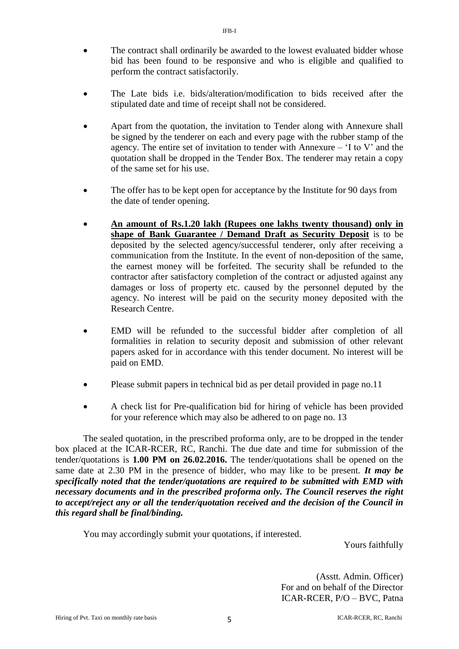- The contract shall ordinarily be awarded to the lowest evaluated bidder whose bid has been found to be responsive and who is eligible and qualified to perform the contract satisfactorily.
- The Late bids i.e. bids/alteration/modification to bids received after the stipulated date and time of receipt shall not be considered.
- Apart from the quotation, the invitation to Tender along with Annexure shall be signed by the tenderer on each and every page with the rubber stamp of the agency. The entire set of invitation to tender with Annexure  $-$  'I to V' and the quotation shall be dropped in the Tender Box. The tenderer may retain a copy of the same set for his use.
- The offer has to be kept open for acceptance by the Institute for 90 days from the date of tender opening.
- **An amount of Rs.1.20 lakh (Rupees one lakhs twenty thousand) only in shape of Bank Guarantee / Demand Draft as Security Deposit** is to be deposited by the selected agency/successful tenderer, only after receiving a communication from the Institute. In the event of non-deposition of the same, the earnest money will be forfeited. The security shall be refunded to the contractor after satisfactory completion of the contract or adjusted against any damages or loss of property etc. caused by the personnel deputed by the agency. No interest will be paid on the security money deposited with the Research Centre.
- EMD will be refunded to the successful bidder after completion of all formalities in relation to security deposit and submission of other relevant papers asked for in accordance with this tender document. No interest will be paid on EMD.
- Please submit papers in technical bid as per detail provided in page no.11
- A check list for Pre-qualification bid for hiring of vehicle has been provided for your reference which may also be adhered to on page no. 13

The sealed quotation, in the prescribed proforma only, are to be dropped in the tender box placed at the ICAR-RCER, RC, Ranchi. The due date and time for submission of the tender/quotations is **1.00 PM on 26.02.2016.** The tender/quotations shall be opened on the same date at 2.30 PM in the presence of bidder, who may like to be present. *It may be specifically noted that the tender/quotations are required to be submitted with EMD with necessary documents and in the prescribed proforma only. The Council reserves the right to accept/reject any or all the tender/quotation received and the decision of the Council in this regard shall be final/binding.*

You may accordingly submit your quotations, if interested.

Yours faithfully

(Asstt. Admin. Officer) For and on behalf of the Director ICAR-RCER, P/O – BVC, Patna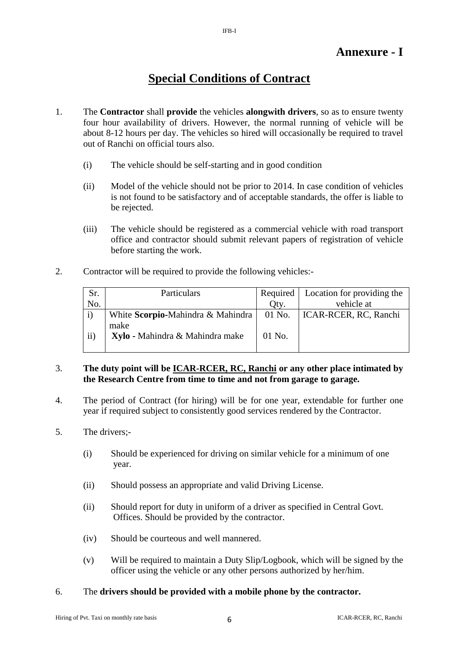# **Annexure - I**

# **Special Conditions of Contract**

- 1. The **Contractor** shall **provide** the vehicles **alongwith drivers**, so as to ensure twenty four hour availability of drivers. However, the normal running of vehicle will be about 8-12 hours per day. The vehicles so hired will occasionally be required to travel out of Ranchi on official tours also.
	- (i) The vehicle should be self-starting and in good condition
	- (ii) Model of the vehicle should not be prior to 2014. In case condition of vehicles is not found to be satisfactory and of acceptable standards, the offer is liable to be rejected.
	- (iii) The vehicle should be registered as a commercial vehicle with road transport office and contractor should submit relevant papers of registration of vehicle before starting the work.
- 2. Contractor will be required to provide the following vehicles:-

| Sr.           | Particulars                                | Required | Location for providing the |
|---------------|--------------------------------------------|----------|----------------------------|
| No.           |                                            | Oty.     | vehicle at                 |
|               | White Scorpio-Mahindra & Mahindra   01 No. |          | ICAR-RCER, RC, Ranchi      |
|               | make                                       |          |                            |
| $\mathbf{ii}$ | Xylo - Mahindra & Mahindra make            | $01$ No. |                            |
|               |                                            |          |                            |

#### 3. **The duty point will be ICAR-RCER, RC, Ranchi or any other place intimated by the Research Centre from time to time and not from garage to garage.**

- 4. The period of Contract (for hiring) will be for one year, extendable for further one year if required subject to consistently good services rendered by the Contractor.
- 5. The drivers;-
	- (i) Should be experienced for driving on similar vehicle for a minimum of one year.
	- (ii) Should possess an appropriate and valid Driving License.
	- (ii) Should report for duty in uniform of a driver as specified in Central Govt. Offices. Should be provided by the contractor.
	- (iv) Should be courteous and well mannered.
	- (v) Will be required to maintain a Duty Slip/Logbook, which will be signed by the officer using the vehicle or any other persons authorized by her/him.

#### 6. The **drivers should be provided with a mobile phone by the contractor.**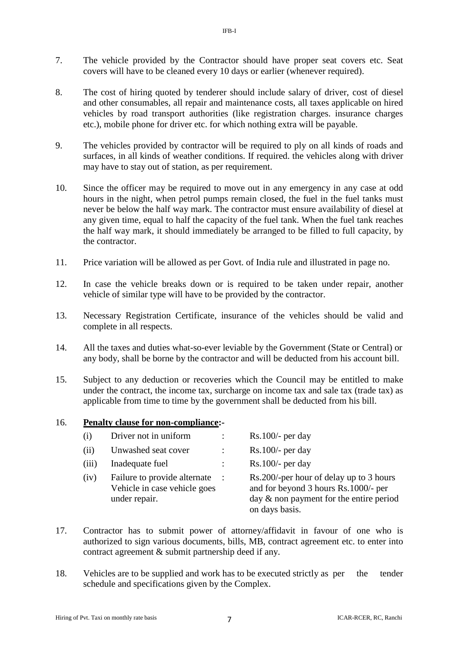- 7. The vehicle provided by the Contractor should have proper seat covers etc. Seat covers will have to be cleaned every 10 days or earlier (whenever required).
- 8. The cost of hiring quoted by tenderer should include salary of driver, cost of diesel and other consumables, all repair and maintenance costs, all taxes applicable on hired vehicles by road transport authorities (like registration charges. insurance charges etc.), mobile phone for driver etc. for which nothing extra will be payable.
- 9. The vehicles provided by contractor will be required to ply on all kinds of roads and surfaces, in all kinds of weather conditions. If required. the vehicles along with driver may have to stay out of station, as per requirement.
- 10. Since the officer may be required to move out in any emergency in any case at odd hours in the night, when petrol pumps remain closed, the fuel in the fuel tanks must never be below the half way mark. The contractor must ensure availability of diesel at any given time, equal to half the capacity of the fuel tank. When the fuel tank reaches the half way mark, it should immediately be arranged to be filled to full capacity, by the contractor.
- 11. Price variation will be allowed as per Govt. of India rule and illustrated in page no.
- 12. In case the vehicle breaks down or is required to be taken under repair, another vehicle of similar type will have to be provided by the contractor.
- 13. Necessary Registration Certificate, insurance of the vehicles should be valid and complete in all respects.
- 14. All the taxes and duties what-so-ever leviable by the Government (State or Central) or any body, shall be borne by the contractor and will be deducted from his account bill.
- 15. Subject to any deduction or recoveries which the Council may be entitled to make under the contract, the income tax, surcharge on income tax and sale tax (trade tax) as applicable from time to time by the government shall be deducted from his bill.

#### 16. **Penalty clause for non-compliance:-**

| (i)   | Driver not in uniform                                                         | $\ddot{\phantom{0}}$ | $Rs.100/-$ per day                                                                                                                              |
|-------|-------------------------------------------------------------------------------|----------------------|-------------------------------------------------------------------------------------------------------------------------------------------------|
| (ii)  | Unwashed seat cover                                                           |                      | $Rs.100/-$ per day                                                                                                                              |
| (iii) | Inadequate fuel                                                               |                      | $Rs.100/-$ per day                                                                                                                              |
| (iv)  | Failure to provide alternate<br>Vehicle in case vehicle goes<br>under repair. | $\therefore$         | Rs.200/-per hour of delay up to 3 hours<br>and for beyond 3 hours Rs.1000/- per<br>day $\&$ non payment for the entire period<br>on days basis. |

- 17. Contractor has to submit power of attorney/affidavit in favour of one who is authorized to sign various documents, bills, MB, contract agreement etc. to enter into contract agreement & submit partnership deed if any.
- 18. Vehicles are to be supplied and work has to be executed strictly as per the tender schedule and specifications given by the Complex.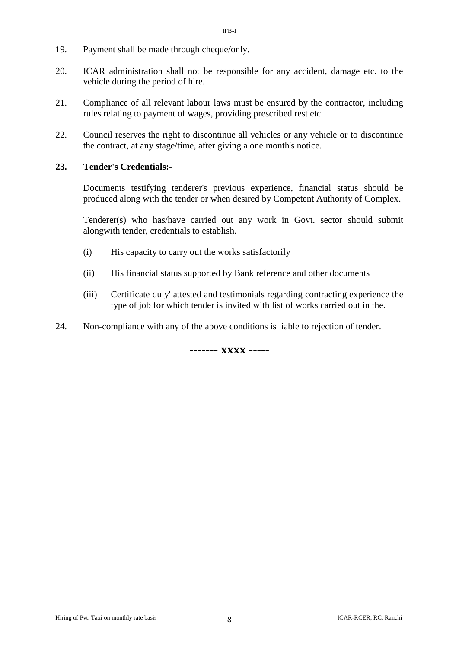- 19. Payment shall be made through cheque/only.
- 20. ICAR administration shall not be responsible for any accident, damage etc. to the vehicle during the period of hire.
- 21. Compliance of all relevant labour laws must be ensured by the contractor, including rules relating to payment of wages, providing prescribed rest etc.
- 22. Council reserves the right to discontinue all vehicles or any vehicle or to discontinue the contract, at any stage/time, after giving a one month's notice.

#### **23. Tender's Credentials:-**

Documents testifying tenderer's previous experience, financial status should be produced along with the tender or when desired by Competent Authority of Complex.

Tenderer(s) who has/have carried out any work in Govt. sector should submit alongwith tender, credentials to establish.

- (i) His capacity to carry out the works satisfactorily
- (ii) His financial status supported by Bank reference and other documents
- (iii) Certificate duly' attested and testimonials regarding contracting experience the type of job for which tender is invited with list of works carried out in the.
- 24. Non-compliance with any of the above conditions is liable to rejection of tender.

**------- xxxx -----**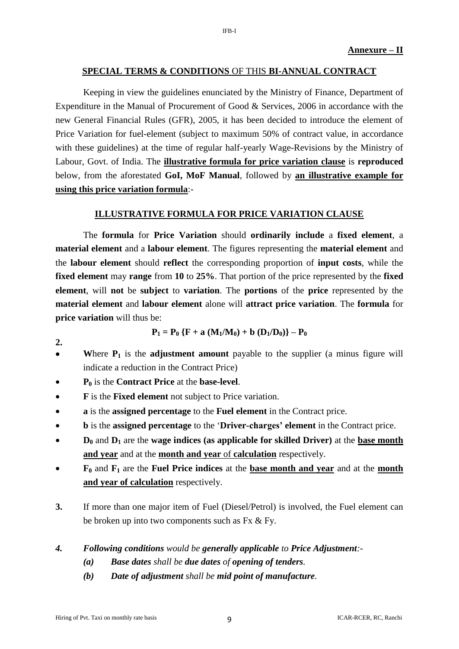#### **SPECIAL TERMS & CONDITIONS** OF THIS **BI-ANNUAL CONTRACT**

Keeping in view the guidelines enunciated by the Ministry of Finance, Department of Expenditure in the Manual of Procurement of Good & Services, 2006 in accordance with the new General Financial Rules (GFR), 2005, it has been decided to introduce the element of Price Variation for fuel-element (subject to maximum 50% of contract value, in accordance with these guidelines) at the time of regular half-yearly Wage-Revisions by the Ministry of Labour, Govt. of India. The **illustrative formula for price variation clause** is **reproduced** below, from the aforestated **GoI, MoF Manual**, followed by **an illustrative example for using this price variation formula**:-

#### **ILLUSTRATIVE FORMULA FOR PRICE VARIATION CLAUSE**

The **formula** for **Price Variation** should **ordinarily include** a **fixed element**, a **material element** and a **labour element**. The figures representing the **material element** and the **labour element** should **reflect** the corresponding proportion of **input costs**, while the **fixed element** may **range** from **10** to **25%**. That portion of the price represented by the **fixed element**, will **not** be **subject** to **variation**. The **portions** of the **price** represented by the **material element** and **labour element** alone will **attract price variation**. The **formula** for **price variation** will thus be:

$$
P_1 = P_0 \{F + a (M_1/M_0) + b (D_1/D_0)\} - P_0
$$

- Where  $P_1$  is the **adjustment amount** payable to the supplier (a minus figure will indicate a reduction in the Contract Price)
- **P<sup>0</sup>** is the **Contract Price** at the **base-level**.

**2.**

- **F** is the **Fixed element** not subject to Price variation.
- **a** is the **assigned percentage** to the **Fuel element** in the Contract price.
- **b** is the **assigned percentage** to the '**Driver-charges' element** in the Contract price.
- **D<sup>0</sup>** and **D<sup>1</sup>** are the **wage indices (as applicable for skilled Driver)** at the **base month and year** and at the **month and year** of **calculation** respectively.
- **F<sup>0</sup>** and **F<sup>1</sup>** are the **Fuel Price indices** at the **base month and year** and at the **month and year of calculation** respectively.
- **3.** If more than one major item of Fuel (Diesel/Petrol) is involved, the Fuel element can be broken up into two components such as Fx & Fy.
- *4. Following conditions would be generally applicable to Price Adjustment:-*
	- *(a) Base dates shall be due dates of opening of tenders.*
	- *(b) Date of adjustment shall be mid point of manufacture.*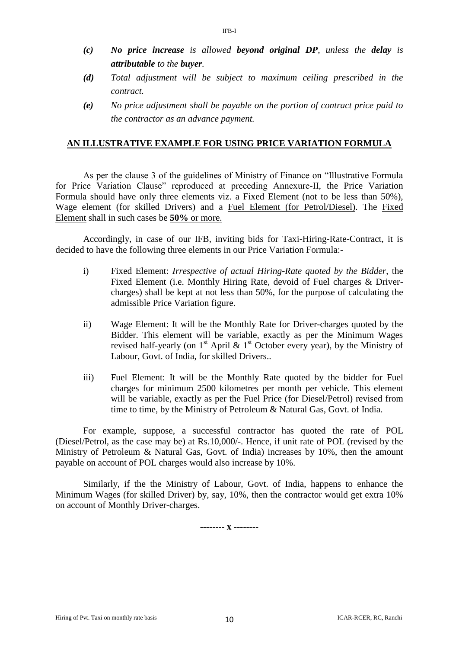*(c) No price increase is allowed beyond original DP, unless the delay is attributable to the buyer.*

IFB-I

- *(d) Total adjustment will be subject to maximum ceiling prescribed in the contract.*
- *(e) No price adjustment shall be payable on the portion of contract price paid to the contractor as an advance payment.*

#### **AN ILLUSTRATIVE EXAMPLE FOR USING PRICE VARIATION FORMULA**

As per the clause 3 of the guidelines of Ministry of Finance on "Illustrative Formula for Price Variation Clause" reproduced at preceding Annexure-II, the Price Variation Formula should have only three elements viz. a Fixed Element (not to be less than 50%), Wage element (for skilled Drivers) and a Fuel Element (for Petrol/Diesel). The Fixed Element shall in such cases be **50%** or more.

Accordingly, in case of our IFB, inviting bids for Taxi-Hiring-Rate-Contract, it is decided to have the following three elements in our Price Variation Formula:-

- i) Fixed Element: *Irrespective of actual Hiring-Rate quoted by the Bidder*, the Fixed Element (i.e. Monthly Hiring Rate, devoid of Fuel charges & Drivercharges) shall be kept at not less than 50%, for the purpose of calculating the admissible Price Variation figure.
- ii) Wage Element: It will be the Monthly Rate for Driver-charges quoted by the Bidder. This element will be variable, exactly as per the Minimum Wages revised half-yearly (on  $1<sup>st</sup>$  April &  $1<sup>st</sup>$  October every year), by the Ministry of Labour, Govt. of India, for skilled Drivers..
- iii) Fuel Element: It will be the Monthly Rate quoted by the bidder for Fuel charges for minimum 2500 kilometres per month per vehicle. This element will be variable, exactly as per the Fuel Price (for Diesel/Petrol) revised from time to time, by the Ministry of Petroleum & Natural Gas, Govt. of India.

For example, suppose, a successful contractor has quoted the rate of POL (Diesel/Petrol, as the case may be) at Rs.10,000/-. Hence, if unit rate of POL (revised by the Ministry of Petroleum & Natural Gas, Govt. of India) increases by 10%, then the amount payable on account of POL charges would also increase by 10%.

Similarly, if the the Ministry of Labour, Govt. of India, happens to enhance the Minimum Wages (for skilled Driver) by, say, 10%, then the contractor would get extra 10% on account of Monthly Driver-charges.

**-------- x --------**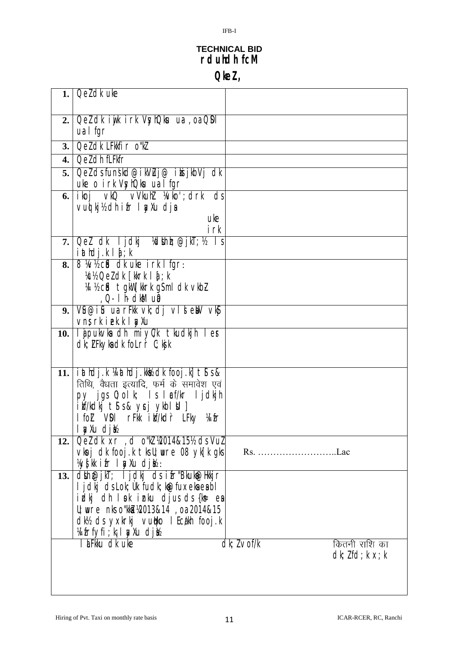# **TECHNICAL BID rduhdh fcM**

IFB-I

**QkeZ ,**

|     | 1. Oel dk uke                                                                           |                                   |
|-----|-----------------------------------------------------------------------------------------|-----------------------------------|
|     |                                                                                         |                                   |
|     |                                                                                         |                                   |
|     | 2.   Qel dk i yik i rk VsyhQku ua , oa QDI                                              |                                   |
|     | ua I fgr                                                                                |                                   |
| 3.1 | Qeldk LFkkfir o"kl                                                                      |                                   |
| 4.1 | Qel dh fLFkfr                                                                           |                                   |
| 5.  | Qel ds funskd@ikVLuj@ iksijkbVj dk                                                      |                                   |
|     | uke o irk VsyhQku ua I fgr                                                              |                                   |
| 6.1 | ikoj vkQ vVkuhl ¼vko';drk ds                                                            |                                   |
|     | vui kj½ dh ifr I yXu dja                                                                |                                   |
|     | uke                                                                                     |                                   |
|     | irk                                                                                     |                                   |
| 7.  | Qel dk ljdkj <i>k</i> dlinir; @jkT; <i>k</i>                                            |                                   |
|     | $i$ athdj $k$ $i$ $j$ , $k$                                                             |                                   |
| 8.  | 8 Wh cid of the intigree                                                                |                                   |
|     | Xcl2 Oel dk [kkrk   a[; k                                                               |                                   |
|     | W % cid tgkW [kkrk gsml dk vkb]<br><u>, Q-</u> I h- dkM up                              |                                   |
| 9.  | Vu@iu ua rFkk vk; dj vldeW vkg                                                          |                                   |
|     | vns rkiekklydu                                                                          |                                   |
|     | 10. ljpukvka dh miyl/k tkudkjh ler                                                      |                                   |
|     | dk; LFkyka dk folr`r C; kjk                                                             |                                   |
|     |                                                                                         |                                   |
|     |                                                                                         |                                   |
|     | 11.   i athdj.k ¼ athdj.kkk dk fooj.k] t s &<br>तिथि, वैधता इत्यादि, फर्म के समावेश एवं |                                   |
|     | py jgs 0; olk; Is læf/kr ljdkjh                                                         |                                   |
|     | i kf/kdkj t\$ s & ycj ykbl \$1 ]                                                        |                                   |
|     | I fol VDI rFKk i kr <sup>7</sup> kdr LFky Wifr                                          |                                   |
|     | l <u>sy</u> xu djb                                                                      |                                   |
| 12. | Qeldk xr, d o''kl ½2014&15½ ds Vul                                                      |                                   |
|     | vkoj dk fooj k tks U; wre 08 yk [k gks]                                                 |                                   |
|     | <i>\</i> ys[kk ifr I ayxu dj½ :                                                         |                                   |
| 13. | dtin@jkT; I jdkj ds ifr"Bkukt@Hkkjr                                                     |                                   |
|     | I jdkj ds Lok; Ùk fudk; køefuxeka ea bl                                                 |                                   |
|     | idkj dh I pk i nku djus ds {k= ex                                                       |                                   |
|     | U; wre nks o"kki ¼2013&14, oa 2014&15                                                   |                                   |
|     | dk½ ds yxkrkj vutiko I Ecakh fooj k                                                     |                                   |
|     | <u>kifrfyfi kilwiau djih</u>                                                            |                                   |
|     | I LEKku dk uke                                                                          | $dk; l \vee f/k$<br>कितनी राशि का |
|     |                                                                                         | $dk; lfd; k \times; k$            |
|     |                                                                                         |                                   |
|     |                                                                                         |                                   |
|     |                                                                                         |                                   |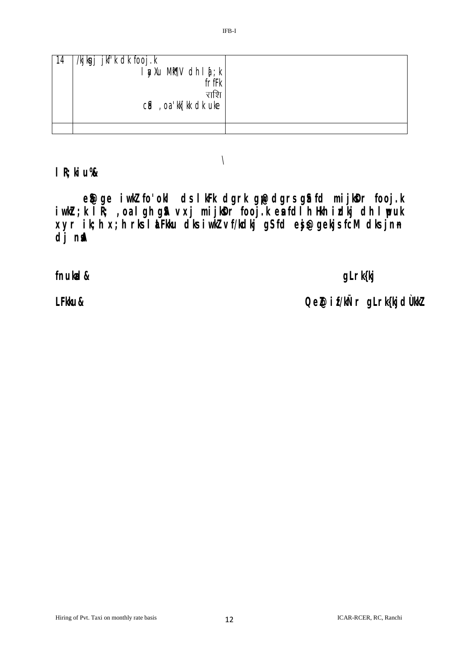| 14 | /kjkgj jkf'k dk fooj.k<br>l ayxu Mik¶V dh I a[; k  <br>frffk<br>राशि<br>$c$ id, oa kk[kk dk uke |  |
|----|-------------------------------------------------------------------------------------------------|--|
|    |                                                                                                 |  |

 $\setminus$ 

**lR;kiu%&**

e\$@ge iwklfo'okl ds lkFk dgrk g<sub>il</sub>@dgrs g\$ fd mijkDr fooj.k **iw.kZr;k lR; ,oa lgh gSA vxj mijksDr fooj.k esa fdlh Hkh izdkj dh lwpuk xyr ik;h x;h rks laLFkku dks iw.kZ vf/kdkj gS fd esjs@gekjs fcM dks jn~n**  dj n**s**A

**fnukad& gLrk{kj**

LFkku& **LFkku&** Qel@if/kÑr gLrk{kjdÙkkZ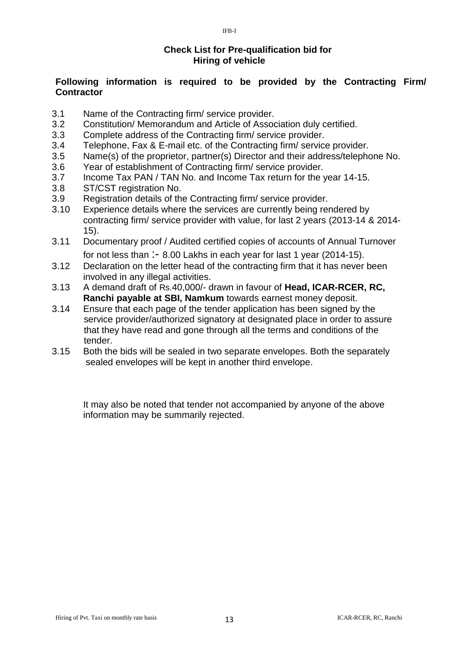### **Check List for Pre-qualification bid for Hiring of vehicle**

#### **Following information is required to be provided by the Contracting Firm/ Contractor**

- 3.1 Name of the Contracting firm/ service provider.
- 3.2 Constitution/ Memorandum and Article of Association duly certified.
- 3.3 Complete address of the Contracting firm/ service provider.
- 3.4 Telephone, Fax & E-mail etc. of the Contracting firm/ service provider.
- 3.5 Name(s) of the proprietor, partner(s) Director and their address/telephone No.
- 3.6 Year of establishment of Contracting firm/ service provider.
- 3.7 Income Tax PAN / TAN No. and Income Tax return for the year 14-15.
- 3.8 ST/CST registration No.
- 3.9 Registration details of the Contracting firm/ service provider.
- 3.10 Experience details where the services are currently being rendered by contracting firm/ service provider with value, for last 2 years (2013-14 & 2014- 15).
- 3.11 Documentary proof / Audited certified copies of accounts of Annual Turnover for not less than :- 8.00 Lakhs in each year for last 1 year (2014-15).
- 3.12 Declaration on the letter head of the contracting firm that it has never been involved in any illegal activities.
- 3.13 A demand draft of Rs.40,000/- drawn in favour of **Head, ICAR-RCER, RC, Ranchi payable at SBI, Namkum** towards earnest money deposit.
- 3.14 Ensure that each page of the tender application has been signed by the service provider/authorized signatory at designated place in order to assure that they have read and gone through all the terms and conditions of the tender.
- 3.15 Both the bids will be sealed in two separate envelopes. Both the separately sealed envelopes will be kept in another third envelope.

It may also be noted that tender not accompanied by anyone of the above information may be summarily rejected.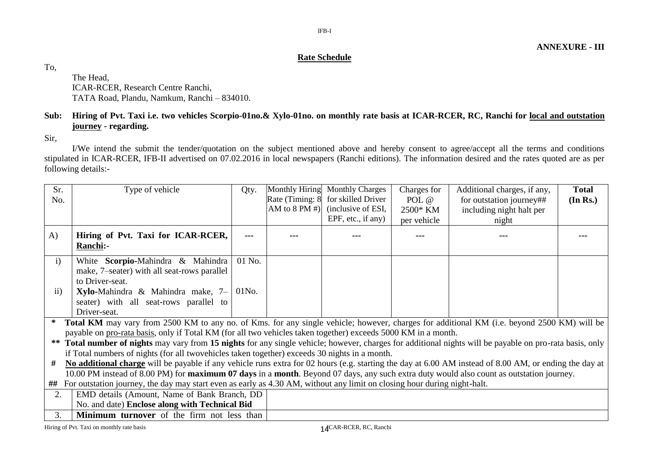**ANNEXURE - III**

#### **Rate Schedule**

To,

The Head, ICAR-RCER, Research Centre Ranchi, TATA Road, Plandu, Namkum, Ranchi – 834010.

#### **Sub: Hiring of Pvt. Taxi i.e. two vehicles Scorpio-01no.& Xylo-01no. on monthly rate basis at ICAR-RCER, RC, Ranchi for local and outstation journey - regarding.**

Sir,

I/We intend the submit the tender/quotation on the subject mentioned above and hereby consent to agree/accept all the terms and conditions stipulated in ICAR-RCER, IFB-II advertised on 07.02.2016 in local newspapers (Ranchi editions). The information desired and the rates quoted are as per following details:-

| Sr.           | Type of vehicle                                                                                                                                        | Qty.     | Monthly Hiring  | <b>Monthly Charges</b> | Charges for | Additional charges, if any, | <b>Total</b> |
|---------------|--------------------------------------------------------------------------------------------------------------------------------------------------------|----------|-----------------|------------------------|-------------|-----------------------------|--------------|
| No.           |                                                                                                                                                        |          | Rate (Timing: 8 | for skilled Driver     | POL @       | for outstation journey##    | (In Rs.)     |
|               |                                                                                                                                                        |          | AM to 8 PM #)   | (inclusive of ESI,     | 2500* KM    | including night halt per    |              |
|               |                                                                                                                                                        |          |                 | EPF, etc., if any)     | per vehicle | night                       |              |
| $\bf{A}$      | Hiring of Pvt. Taxi for ICAR-RCER,<br>Ranchi:-                                                                                                         | ---      |                 |                        |             |                             |              |
| $\mathbf{i}$  | White Scorpio-Mahindra & Mahindra<br>make, 7-seater) with all seat-rows parallel                                                                       | $01$ No. |                 |                        |             |                             |              |
|               | to Driver-seat.                                                                                                                                        |          |                 |                        |             |                             |              |
| $\mathbf{ii}$ | <b>Xylo-Mahindra &amp; Mahindra make, <math>7 - 01N</math>o.</b>                                                                                       |          |                 |                        |             |                             |              |
|               | seater) with all seat-rows parallel to                                                                                                                 |          |                 |                        |             |                             |              |
|               | Driver-seat.                                                                                                                                           |          |                 |                        |             |                             |              |
| ∗             | Total KM may vary from 2500 KM to any no. of Kms. for any single vehicle; however, charges for additional KM (i.e. beyond 2500 KM) will be             |          |                 |                        |             |                             |              |
|               | payable on pro-rata basis, only if Total KM (for all two vehicles taken together) exceeds 5000 KM in a month.                                          |          |                 |                        |             |                             |              |
| **            | Total number of nights may vary from 15 nights for any single vehicle; however, charges for additional nights will be payable on pro-rata basis, only  |          |                 |                        |             |                             |              |
|               | if Total numbers of nights (for all two vehicles taken together) exceeds 30 nights in a month.                                                         |          |                 |                        |             |                             |              |
| #             | No additional charge will be payable if any vehicle runs extra for 02 hours (e.g. starting the day at 6.00 AM instead of 8.00 AM, or ending the day at |          |                 |                        |             |                             |              |
|               | 10.00 PM instead of 8.00 PM) for maximum 07 days in a month. Beyond 07 days, any such extra duty would also count as outstation journey.               |          |                 |                        |             |                             |              |
| ##            | For outstation journey, the day may start even as early as 4.30 AM, without any limit on closing hour during night-halt.                               |          |                 |                        |             |                             |              |
| 2.            | EMD details (Amount, Name of Bank Branch, DD                                                                                                           |          |                 |                        |             |                             |              |
|               | No. and date) Enclose along with Technical Bid                                                                                                         |          |                 |                        |             |                             |              |
| 3.            | Minimum turnover of the firm not less than                                                                                                             |          |                 |                        |             |                             |              |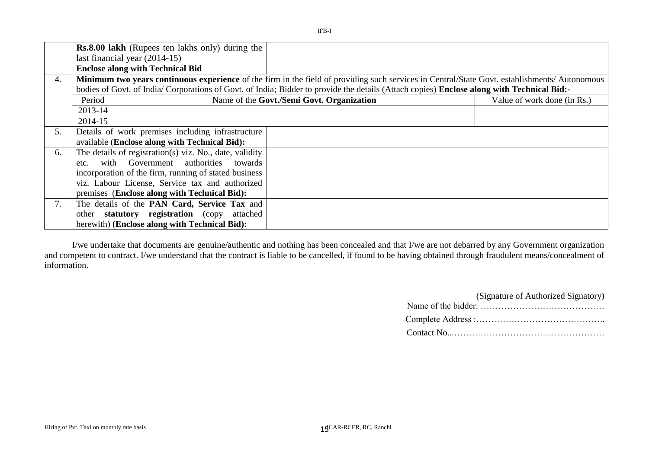|    |         | <b>Rs.8.00 lakh</b> (Rupees ten lakhs only) during the  |                                                                                                                                               |                             |
|----|---------|---------------------------------------------------------|-----------------------------------------------------------------------------------------------------------------------------------------------|-----------------------------|
|    |         | last financial year $(2014-15)$                         |                                                                                                                                               |                             |
|    |         | <b>Enclose along with Technical Bid</b>                 |                                                                                                                                               |                             |
| 4. |         |                                                         | Minimum two years continuous experience of the firm in the field of providing such services in Central/State Govt. establishments/ Autonomous |                             |
|    |         |                                                         | bodies of Govt. of India/Corporations of Govt. of India; Bidder to provide the details (Attach copies) Enclose along with Technical Bid:-     |                             |
|    | Period  |                                                         | Name of the Govt./Semi Govt. Organization                                                                                                     | Value of work done (in Rs.) |
|    | 2013-14 |                                                         |                                                                                                                                               |                             |
|    | 2014-15 |                                                         |                                                                                                                                               |                             |
| 5. |         | Details of work premises including infrastructure       |                                                                                                                                               |                             |
|    |         | available (Enclose along with Technical Bid):           |                                                                                                                                               |                             |
| 6. |         | The details of registration(s) viz. No., date, validity |                                                                                                                                               |                             |
|    | etc.    | with Government authorities towards                     |                                                                                                                                               |                             |
|    |         | incorporation of the firm, running of stated business   |                                                                                                                                               |                             |
|    |         | viz. Labour License, Service tax and authorized         |                                                                                                                                               |                             |
|    |         | premises (Enclose along with Technical Bid):            |                                                                                                                                               |                             |
| 7. |         | The details of the PAN Card, Service Tax and            |                                                                                                                                               |                             |
|    |         | other statutory registration (copy attached             |                                                                                                                                               |                             |
|    |         | herewith) (Enclose along with Technical Bid):           |                                                                                                                                               |                             |

I/we undertake that documents are genuine/authentic and nothing has been concealed and that I/we are not debarred by any Government organization and competent to contract. I/we understand that the contract is liable to be cancelled, if found to be having obtained through fraudulent means/concealment of information.

| (Signature of Authorized Signatory) |
|-------------------------------------|
|                                     |
|                                     |
|                                     |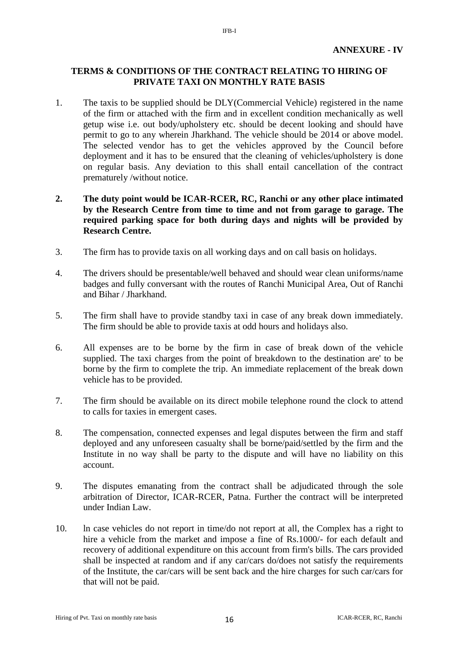#### **TERMS & CONDITIONS OF THE CONTRACT RELATING TO HIRING OF PRIVATE TAXI ON MONTHLY RATE BASIS**

IFB-I

1. The taxis to be supplied should be DLY(Commercial Vehicle) registered in the name of the firm or attached with the firm and in excellent condition mechanically as well getup wise i.e. out body/upholstery etc. should be decent looking and should have permit to go to any wherein Jharkhand. The vehicle should be 2014 or above model. The selected vendor has to get the vehicles approved by the Council before deployment and it has to be ensured that the cleaning of vehicles/upholstery is done on regular basis. Any deviation to this shall entail cancellation of the contract prematurely /without notice.

#### **2. The duty point would be ICAR-RCER, RC, Ranchi or any other place intimated by the Research Centre from time to time and not from garage to garage. The required parking space for both during days and nights will be provided by Research Centre.**

- 3. The firm has to provide taxis on all working days and on call basis on holidays.
- 4. The drivers should be presentable/well behaved and should wear clean uniforms/name badges and fully conversant with the routes of Ranchi Municipal Area, Out of Ranchi and Bihar / Jharkhand.
- 5. The firm shall have to provide standby taxi in case of any break down immediately. The firm should be able to provide taxis at odd hours and holidays also.
- 6. All expenses are to be borne by the firm in case of break down of the vehicle supplied. The taxi charges from the point of breakdown to the destination are' to be borne by the firm to complete the trip. An immediate replacement of the break down vehicle has to be provided.
- 7. The firm should be available on its direct mobile telephone round the clock to attend to calls for taxies in emergent cases.
- 8. The compensation, connected expenses and legal disputes between the firm and staff deployed and any unforeseen casualty shall be borne/paid/settled by the firm and the Institute in no way shall be party to the dispute and will have no liability on this account.
- 9. The disputes emanating from the contract shall be adjudicated through the sole arbitration of Director, ICAR-RCER, Patna. Further the contract will be interpreted under Indian Law.
- 10. ln case vehicles do not report in time/do not report at all, the Complex has a right to hire a vehicle from the market and impose a fine of Rs.1000/- for each default and recovery of additional expenditure on this account from firm's bills. The cars provided shall be inspected at random and if any car/cars do/does not satisfy the requirements of the Institute, the car/cars will be sent back and the hire charges for such car/cars for that will not be paid.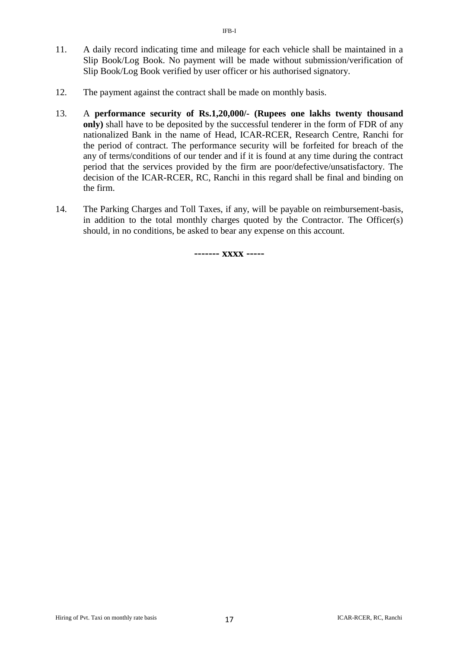- 11. A daily record indicating time and mileage for each vehicle shall be maintained in a Slip Book/Log Book. No payment will be made without submission/verification of Slip Book/Log Book verified by user officer or his authorised signatory.
- 12. The payment against the contract shall be made on monthly basis.
- 13. A **performance security of Rs.1,20,000/- (Rupees one lakhs twenty thousand only)** shall have to be deposited by the successful tenderer in the form of FDR of any nationalized Bank in the name of Head, ICAR-RCER, Research Centre, Ranchi for the period of contract. The performance security will be forfeited for breach of the any of terms/conditions of our tender and if it is found at any time during the contract period that the services provided by the firm are poor/defective/unsatisfactory. The decision of the ICAR-RCER, RC, Ranchi in this regard shall be final and binding on the firm.
- 14. The Parking Charges and Toll Taxes, if any, will be payable on reimbursement-basis, in addition to the total monthly charges quoted by the Contractor. The Officer(s) should, in no conditions, be asked to bear any expense on this account.

**------- xxxx -----**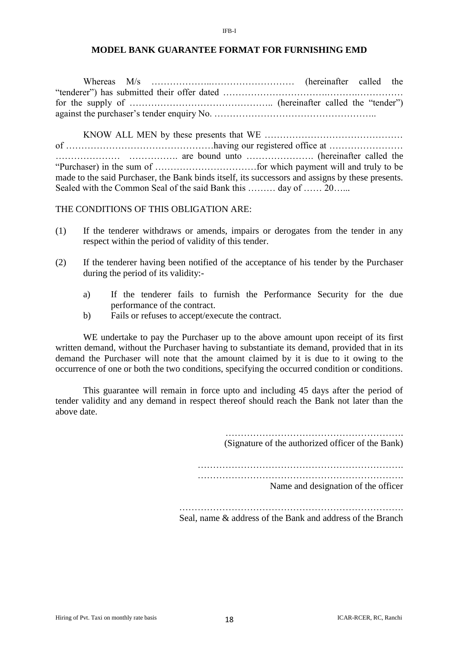#### **MODEL BANK GUARANTEE FORMAT FOR FURNISHING EMD**

IFB-I

Whereas M/s ………………..……………………… (hereinafter called the "tenderer") has submitted their offer dated …………………………….……….…………… for the supply of ……………………………………….. (hereinafter called the "tender") against the purchaser's tender enquiry No. ……………………………………………..

KNOW ALL MEN by these presents that WE ……………………………………… of …………………………………………having our registered office at …………………… ………………… ……………. are bound unto …………………. (hereinafter called the "Purchaser) in the sum of ……………………………for which payment will and truly to be made to the said Purchaser, the Bank binds itself, its successors and assigns by these presents. Sealed with the Common Seal of the said Bank this ……… day of …… 20…...

THE CONDITIONS OF THIS OBLIGATION ARE:

- (1) If the tenderer withdraws or amends, impairs or derogates from the tender in any respect within the period of validity of this tender.
- (2) If the tenderer having been notified of the acceptance of his tender by the Purchaser during the period of its validity:
	- a) If the tenderer fails to furnish the Performance Security for the due performance of the contract.
	- b) Fails or refuses to accept/execute the contract.

WE undertake to pay the Purchaser up to the above amount upon receipt of its first written demand, without the Purchaser having to substantiate its demand, provided that in its demand the Purchaser will note that the amount claimed by it is due to it owing to the occurrence of one or both the two conditions, specifying the occurred condition or conditions.

This guarantee will remain in force upto and including 45 days after the period of tender validity and any demand in respect thereof should reach the Bank not later than the above date.

> …………………………………………………. (Signature of the authorized officer of the Bank)

…………………………………………………………. ………………………………………………………….

Name and designation of the officer

Seal, name & address of the Bank and address of the Branch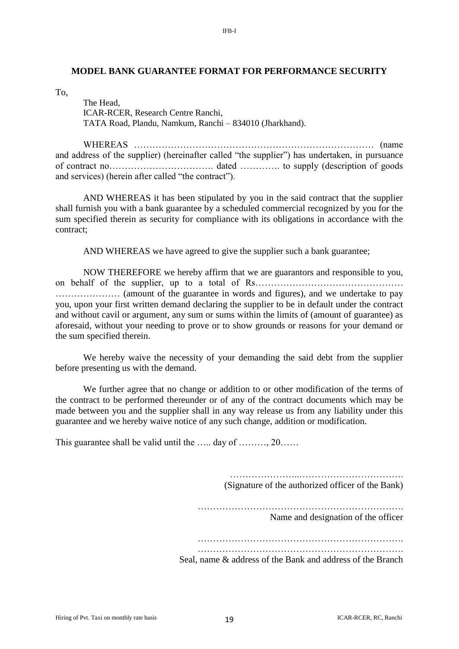#### **MODEL BANK GUARANTEE FORMAT FOR PERFORMANCE SECURITY**

IFB-I

To,

The Head, ICAR-RCER, Research Centre Ranchi, TATA Road, Plandu, Namkum, Ranchi – 834010 (Jharkhand).

WHEREAS …………………………………………………………………… (name and address of the supplier) (hereinafter called "the supplier") has undertaken, in pursuance of contract no……………………………. dated …………. to supply (description of goods and services) (herein after called "the contract").

AND WHEREAS it has been stipulated by you in the said contract that the supplier shall furnish you with a bank guarantee by a scheduled commercial recognized by you for the sum specified therein as security for compliance with its obligations in accordance with the contract;

AND WHEREAS we have agreed to give the supplier such a bank guarantee;

NOW THEREFORE we hereby affirm that we are guarantors and responsible to you, on behalf of the supplier, up to a total of Rs…………………………………………………………………………………………… ………………… (amount of the guarantee in words and figures), and we undertake to pay you, upon your first written demand declaring the supplier to be in default under the contract and without cavil or argument, any sum or sums within the limits of (amount of guarantee) as aforesaid, without your needing to prove or to show grounds or reasons for your demand or the sum specified therein.

We hereby waive the necessity of your demanding the said debt from the supplier before presenting us with the demand.

We further agree that no change or addition to or other modification of the terms of the contract to be performed thereunder or of any of the contract documents which may be made between you and the supplier shall in any way release us from any liability under this guarantee and we hereby waive notice of any such change, addition or modification.

This guarantee shall be valid until the …… day of ………, 20……

…………………..……………………………. (Signature of the authorized officer of the Bank)

………………………………………………………….

Name and designation of the officer

Seal, name & address of the Bank and address of the Branch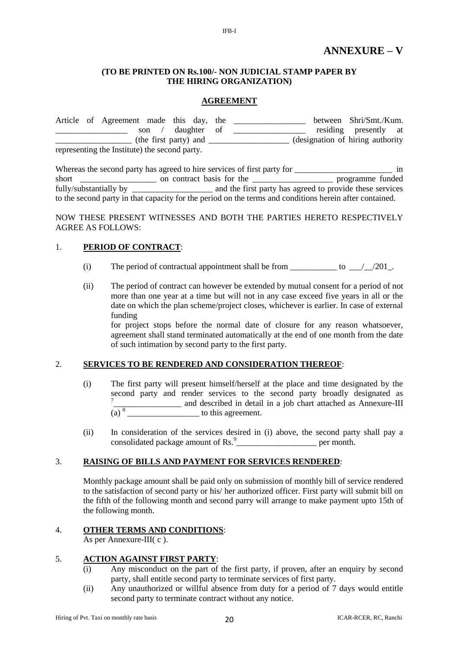#### **(TO BE PRINTED ON Rs.100/- NON JUDICIAL STAMP PAPER BY THE HIRING ORGANIZATION)**

IFB-I

#### **AGREEMENT**

|                                               |  | Article of Agreement made this day, the |       |  |             |  | between Shri/Smt./Kum.            |  |
|-----------------------------------------------|--|-----------------------------------------|-------|--|-------------|--|-----------------------------------|--|
|                                               |  |                                         | son / |  | daughter of |  | residing presently at             |  |
| (the first party) and                         |  |                                         |       |  |             |  | (designation of hiring authority) |  |
| representing the Institute) the second party. |  |                                         |       |  |             |  |                                   |  |

|                        | Whereas the second party has agreed to hire services of first party for                                 | 1n                                                       |
|------------------------|---------------------------------------------------------------------------------------------------------|----------------------------------------------------------|
| short                  | on contract basis for the                                                                               | programme funded                                         |
| fully/substantially by |                                                                                                         | and the first party has agreed to provide these services |
|                        | to the second party in that capacity for the period on the terms and conditions herein after contained. |                                                          |

NOW THESE PRESENT WITNESSES AND BOTH THE PARTIES HERETO RESPECTIVELY AGREE AS FOLLOWS:

#### 1. **PERIOD OF CONTRACT**:

- (i) The period of contractual appointment shall be from  $\frac{1}{201}$ .
- (ii) The period of contract can however be extended by mutual consent for a period of not more than one year at a time but will not in any case exceed five years in all or the date on which the plan scheme/project closes, whichever is earlier. In case of external funding

for project stops before the normal date of closure for any reason whatsoever, agreement shall stand terminated automatically at the end of one month from the date of such intimation by second party to the first party.

#### 2. **SERVICES TO BE RENDERED AND CONSIDERATION THEREOF**:

- (i) The first party will present himself/herself at the place and time designated by the second party and render services to the second party broadly designated as 7 \_\_\_\_\_\_\_\_\_\_\_\_\_\_\_\_ and described in detail in a job chart attached as Annexure-III  $(a)$ <sup>8</sup> to this agreement.
- (ii) In consideration of the services desired in (i) above, the second party shall pay a consolidated package amount of Rs.<sup>9</sup> per month.

#### 3. **RAISING OF BILLS AND PAYMENT FOR SERVICES RENDERED**:

Monthly package amount shall be paid only on submission of monthly bill of service rendered to the satisfaction of second party or his/ her authorized officer. First party will submit bill on the fifth of the following month and second parry will arrange to make payment upto 15th of the following month.

#### 4. **OTHER TERMS AND CONDITIONS**:

As per Annexure-III( c ).

#### 5. **ACTION AGAINST FIRST PARTY**:

- (i) Any misconduct on the part of the first party, if proven, after an enquiry by second party, shall entitle second party to terminate services of first party.
- (ii) Any unauthorized or willful absence from duty for a period of 7 days would entitle second party to terminate contract without any notice.